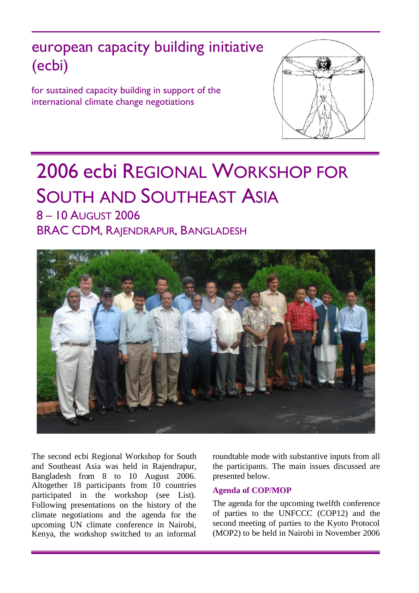# european capacity building initiative (ecbi)

for sustained capacity building in support of the international climate change negotiations



# 2006 ecbi REGIONAL WORKSHOP FOR SOUTH AND SOUTHEAST ASIA

8 – 10 AUGUST 2006 BRAC CDM, RAJENDRAPUR, BANGLADESH



The second ecbi Regional Workshop for South and Southeast Asia was held in Rajendrapur, Bangladesh from 8 to 10 August 2006. Altogether 18 participants from 10 countries participated in the workshop (see List). Following presentations on the history of the climate negotiations and the agenda for the upcoming UN climate conference in Nairobi, Kenya, the workshop switched to an informal

roundtable mode with substantive inputs from all the participants. The main issues discussed are presented below.

## **Agenda of COP/MOP**

The agenda for the upcoming twelfth conference of parties to the UNFCCC (COP12) and the second meeting of parties to the Kyoto Protocol (MOP2) to be held in Nairobi in November 2006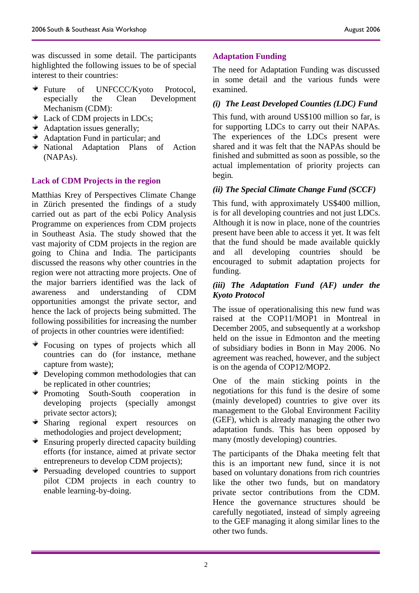was discussed in some detail. The participants highlighted the following issues to be of special interest to their countries:

- Future of UNFCCC/Kyoto Protocol, especially the Clean Development Mechanism (CDM):
- Lack of CDM projects in LDCs;
- Adaptation issues generally;
- Adaptation Fund in particular; and
- National Adaptation Plans of Action (NAPAs).

## **Lack of CDM Projects in the region**

Matthias Krey of Perspectives Climate Change in Zürich presented the findings of a study carried out as part of the ecbi Policy Analysis Programme on experiences from CDM projects in Southeast Asia. The study showed that the vast majority of CDM projects in the region are going to China and India. The participants discussed the reasons why other countries in the region were not attracting more projects. One of the major barriers identified was the lack of awareness and understanding of CDM opportunities amongst the private sector, and hence the lack of projects being submitted. The following possibilities for increasing the number of projects in other countries were identified:

- Focusing on types of projects which all countries can do (for instance, methane capture from waste);
- Developing common methodologies that can be replicated in other countries;
- Promoting South-South cooperation in developing projects (specially amongst private sector actors);
- Sharing regional expert resources on methodologies and project development;
- Ensuring properly directed capacity building ÷. efforts (for instance, aimed at private sector entrepreneurs to develop CDM projects);
- Persuading developed countries to support pilot CDM projects in each country to enable learning-by-doing.

## **Adaptation Funding**

The need for Adaptation Funding was discussed in some detail and the various funds were examined.

## *(i) The Least Developed Counties (LDC) Fund*

This fund, with around US\$100 million so far, is for supporting LDCs to carry out their NAPAs. The experiences of the LDCs present were shared and it was felt that the NAPAs should be finished and submitted as soon as possible, so the actual implementation of priority projects can begin.

## *(ii) The Special Climate Change Fund (SCCF)*

This fund, with approximately US\$400 million, is for all developing countries and not just LDCs. Although it is now in place, none of the countries present have been able to access it yet. It was felt that the fund should be made available quickly and all developing countries should be encouraged to submit adaptation projects for funding.

### *(iii) The Adaptation Fund (AF) under the Kyoto Protocol*

The issue of operationalising this new fund was raised at the COP11/MOP1 in Montreal in December 2005, and subsequently at a workshop held on the issue in Edmonton and the meeting of subsidiary bodies in Bonn in May 2006. No agreement was reached, however, and the subject is on the agenda of COP12/MOP2.

One of the main sticking points in the negotiations for this fund is the desire of some (mainly developed) countries to give over its management to the Global Environment Facility (GEF), which is already managing the other two adaptation funds. This has been opposed by many (mostly developing) countries.

The participants of the Dhaka meeting felt that this is an important new fund, since it is not based on voluntary donations from rich countries like the other two funds, but on mandatory private sector contributions from the CDM. Hence the governance structures should be carefully negotiated, instead of simply agreeing to the GEF managing it along similar lines to the other two funds.